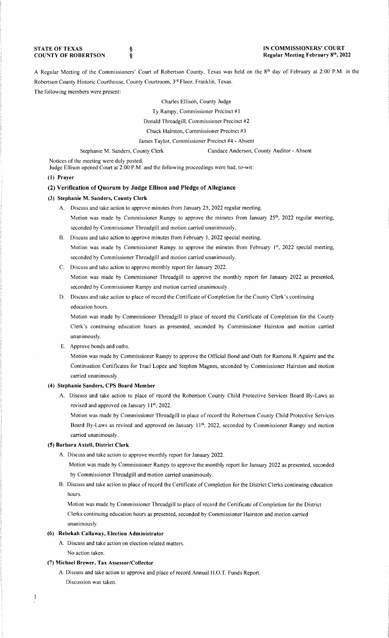**STATE OF TEXAS COUNTY OF ROBERTSON**  **IN COMMISSIONERS' COURT Regular Meeting February 8th, 2022** 

A Regular Meeting of the Commissioners' Court of Robertson County, Texas was held on the 8<sup>th</sup> day of February at 2:00 P.M. in the Robertson County Historic Courthouse, County Courtroom, 3rd Floor, Franklin, Texas. The following members were present:

Charles Ellison, County Judge

Ty Rampy, Commissioner Precinct #1

Donald Threadgill, Commissioner Precinct #2

Chuck Hairston, Commissioner Precinct #3

James Taylor, Commissioner Precinct #4 - Absent

Stephanie M. Sanders, County Clerk Candace Anderson, County Auditor - Absent

Notices of the meeting were duly posted.

Judge Ellison opened Court at 2:00 P.M. and the following proceedings were had, to-wit:

#### **(1) Prayer**

# **(2) Verification of Quorum by Judge Ellison and Pledge of Allegiance**

### **(3) Stephanie M. Sanders, County Clerk**

- A. Discuss and take action to approve minutes from January 25, 2022 regular meeting. Motion was made by Commissioner Rampy to approve the minutes from January 25<sup>th</sup>, 2022 regular meeting, seconded by Commissioner Threadgill and motion carried unanimously.
- 8. Discuss and take action to approve minutes from February 1, 2022 special meeting. Motion was made by Commissioner Rampy to approve the minutes from February 1st, 2022 special meeting, seconded by Commissioner Threadgill and motion carried unanimously.
- C. Discuss and take action to approve monthly report for January 2022.

Motion was made by Commissioner Threadgill to approve the monthly report for January 2022 as presented, seconded by Commissioner Rampy and motion carried unanimously.

D. Discuss and take action to place of record the Certificate of Completion for the County Clerk's continuing education hours.

Motion was made by Commissioner Threadgill to place of record the Certificate of Completion for the County Clerk's continuing education hours as presented, seconded by Commissioner Hairston and motion carried unanimously.

E. Approve bonds and oaths.

Motion was made by Commissioner Rampy to approve the Official Bond and Oath for Ramona R Aguirre and the Continuation Certificates for Traci Lopez and Stephen Magnes, seconded by Commissioner Hairston and motion carried unanimously.

# **(4) Stephanie Sanders, CPS Board Member**

A. Discuss and take action to place of record the Robertson County Child Protective Services Board By-Laws as revised and approved on January 11<sup>th</sup>, 2022.

Motion was made by Commissioner Threadgill to place of record the Robertson County Child Protective Services Board By-Laws as revised and approved on January 11<sup>th</sup>, 2022, seconded by Commissioner Rampy and motion carried unanimously.

# **(5) Barbara Axtell, District Clerk**

- A. Discuss and take action to approve monthly report for January 2022.
	- Motion was made by Commissioner Rampy to approve the monthly report for January 2022 as presented, seconded by Commissioner Threadgill and motion carried unanimously.
- B. Discuss and take action to place of record the Certificate of Completion for the District Clerks continuing education hours.

Motion was made by Commissioner Threadgill to place of record the Certificate of Completion for the District Clerks continuing education hours as presented, seconded by Commissioner Hairston and motion carried unanimously.

# **(6) Rebekah Callaway, Election Administrator**

A. Discuss and take action on election related matters.

No action taken.

## **(7) Michael Brewer, Tax Assessor/Collector**

A. Discuss and take action to approve and place of record Annual H.O.T. Funds Report. Discussion was taken.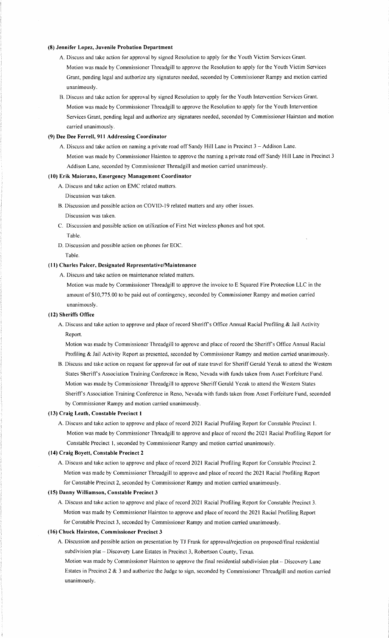### **(8) Jennifer Lopez, Juvenile Probation Department**

- A. Discuss and take action for approval by signed Resolution to apply for the Youth Victim Services Grant. Motion was made by Commissioner Threadgill to approve the Resolution to apply for the Youth Victim Services Grant, pending legal and authorize any signatures needed, seconded by Commissioner Rampy and motion carried unanimously.
- B. Discuss and take action for approval by signed Resolution to apply for the Youth Intervention Services Grant. Motion was made by Commissioner Threadgill to approve the Resolution to apply for the Youth Intervention Services Grant, pending legal and authorize any signatures needed, seconded by Commissioner Hairston and motion carried unanimously.

# **(9) Dee Dee Ferrell, 911 Addressing Coordinator**

A. Discuss and take action on naming a private road off Sandy Hill Lane in Precinct 3 - Addison Lane. Motion was made by Commissioner Hairston to approve the naming a private road off Sandy Hill Lane in Precinct 3 Addison Lane, seconded by Commissioner Threadgill and motion carried unanimously.

#### **(10) Erik Maiorano, Emergency Management Coordinator**

- A. Discuss and take action on EMC related matters.
- Discussion was taken.
- B. Discussion and possible action on COVID-19 related matters and any other issues. Discussion was taken.
- C. Discussion and possible action on utilization of First Net wireless phones and hot spot. Table.
- D. Discussion and possible action on phones for EOC.

## Table.

#### **(11) Charles Paker, Designated Representative/Maintenance**

A. Discuss and take action on maintenance related matters.

Motion was made by Commissioner Threadgill to approve the invoice to E Squared Fire Protection LLC in the amount of \$10,775.00 to be paid out of contingency, seconded by Commissioner Rampy and motion carried unanimously.

#### **(12) Sheriffs Office**

A. Discuss and take action to approve and place of record Sheriffs Office Annual Racial Profiling & Jail Activity Report.

Motion was made by Commissioner Threadgill to approve and place of record the Sheriffs Office Annual Racial Profiling & Jail Activity Report as presented, seconded by Commissioner Rampy and motion carried unanimously.

B. Discuss and take action on request for approval for out of state travel for Sheriff Gerald Yezak to attend the Western States Sheriffs Association Training Conference in Reno, Nevada with funds taken from Asset Forfeiture Fund. Motion was made by Commissioner Threadgill to approve Sheriff Gerald Yezak to attend the Western States Sheriff's Association Training Conference in Reno, Nevada with funds taken from Asset Forfeiture Fund, seconded by Commissioner Rampy and motion carried unanimously.

## **(13) Craig Leath, Constable Precinct 1**

A. Discuss and take action to approve and place of record 2021 Racial Profiling Report for Constable Precinct I. Motion was made by Commissioner Threadgill to approve and place of record the 2021 Racial Profiling Report for Constable Precinct **1,** seconded by Commissioner Rampy and motion carried unanimously.

#### **(14) Craig Boyett, Constable Precinct 2**

A. Discuss and take action to approve and place of record 2021 Racial Profiling Report for Constable Precinct 2. Motion was made by Commissioner Threadgill to approve and place of record the 2021 Racial Profiling Report for Constable Precinct 2, seconded by Commissioner Rampy and motion carried unanimously.

#### **(15) Danny Williamson, Constable Precinct 3**

A. Discuss and take action to approve and place of record 2021 Racial Profiling Report for Constable Precinct 3. Motion was made by Commissioner Hairston to approve and place of record the 2021 Racial Profiling Report for Constable Precinct 3, seconded by Commissioner Rampy and motion carried unanimously.

## **(16) Chuck Hairston, Commissioner Precinct 3**

- A. Discussion and possible action on presentation by TJ Frank for approval/rejection on proposed/final residential subdivision plat- Discovery Lane Estates in Precinct 3, Robertson County, Texas.
	- Motion was made by Commissioner Hairston to approve the final residential subdivision plat Discovery Lane Estates in Precinct 2 & 3 and authorize the Judge to sign, seconded by Commissioner Threadgill and motion carried unanimously.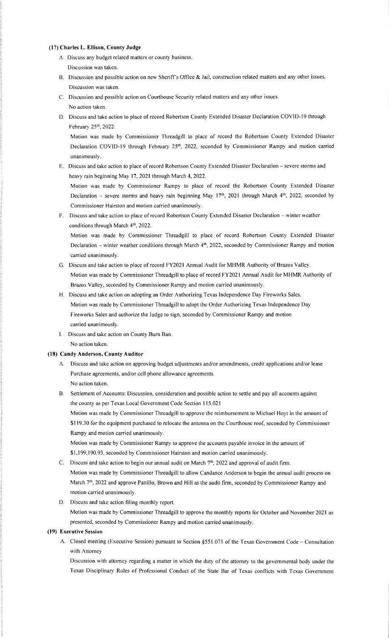#### **(17) Charles L. Ellison, County Judge**

- A. Discuss any budget related matters or county business. Discussion was taken.
- B. Discussion and possible action on new Sheriff's Office & Jail, construction related matters and any other issues. Discussion was taken.
- C. Discussion and possible action on Courthouse Security related matters and any other issues. No action taken.
- D. Discuss and take action to place of record Robertson County Extended Disaster Declaration COVID-19 through February 25th, 2022.

Motion was made by Commissioner Threadgill to place of record the Robertson County Extended Disaster Declaration COVID-19 through February 25<sup>th</sup>, 2022, seconded by Commissioner Rampy and motion carried unanimously.

E. Discuss and take action to place of record Robertson County Extended Disaster Declaration - severe storms and heavy rain beginning May 17, 2021 through March 4, 2022.

Motion was made by Commissioner Rampy to place of record the Robertson County Extended Disaster Declaration - severe storms and heavy rain beginning May 17<sup>th</sup>, 2021 through March 4<sup>th</sup>, 2022, seconded by Commissioner Hairston and motion carried unanimously.

F. Discuss and take action to place of record Robertson County Extended Disaster Declaration - winter weather conditions through March 4<sup>th</sup>, 2022.

Motion was made by Commissioner Threadgill to place of record Robertson County Extended Disaster Declaration - winter weather conditions through March  $4<sup>th</sup>$ , 2022, seconded by Commissioner Rampy and motion carried unanimously.

- G. Discuss and take action to place of record FY2021 Annual Audit for **MHMR** Authority of Brazos Valley. Motion was made by Commissioner Threadgill to place of record FY2021 Annual Audit for MHMR Authority of Brazos Valley, seconded by Commissioner Rampy and motion carried unanimously.
- H. Discuss and take action on adopting an Order Authorizing Texas Independence Day Fireworks Sales. Motion was made by Commissioner Threadgill to adopt the Order Authorizing Texas Independence Day Fireworks Sales and authorize the Judge to sign, seconded by Commissioner Rampy and motion carried unanimously.
- I. Discuss and take action on County Bum Ban. No action taken.

# **(18) Candy Anderson, County Auditor**

- A. Discuss and take action on approving budget adjustments and/or amendments, credit applications and/or lease Purchase agreements, and/or cell phone allowance agreements. No action taken.
- B. Settlement of Accounts: Discussion, consideration and possible action to settle and pay all accounts against the county as per Texas Local Government Code Section 115.021 Motion was made by Commissioner Threadgill to approve the reimbursement to Michael Hoyt in the amount of

\$ I 19.30 for the equipment purchased to relocate the antenna on the Courthouse roof, seconded by Commissioner Rampy and motion carried unanimously.

Motion was made by Commissioner Rampy to approve the accounts payable invoice in the amount of \$1,199,190.93, seconded by Commissioner Hairston and motion carried unanimously.

- C. Discuss and take action to begin our annual audit on March 7<sup>th</sup>, 2022 and approval of audit firm. Motion was made by Commissioner Threadgill to allow Candance Anderson to begin the annual audit process on March 7th, 2022 and approve Pattillo, Brown and Hill as the audit firm, seconded by Commissioner Rampy and motion carried unanimously.
- D. Discuss and take action filing monthly report.

Motion was made by Commissioner Threadgill to approve the monthly reports for October and November 2021 as presented, seconded by Commissioner Rampy and motion carried unanimously.

# **(19) Executive Session**

A. Closed meeting (Executive Session) pursuant to Section §551.071 of the Texas Government Code - Consultation with Attorney

Discussion with attorney regarding a matter in which the duty of the attorney to the governmental body under the Texas Disciplinary Rules of Professional Conduct of the State Bar of Texas conflicts with Texas Government